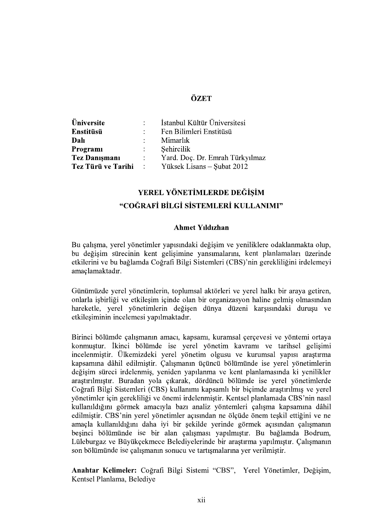## ÖZET

| <b>Üniversite</b>    |               | İstanbul Kültür Üniversitesi                    |
|----------------------|---------------|-------------------------------------------------|
| <b>Enstitüsü</b>     | $\mathcal{L}$ | Fen Bilimleri Enstitüsü                         |
| Dalı                 | $\mathcal{L}$ | Mimarlık                                        |
| Programi             | $\mathcal{L}$ | Sehircilik                                      |
| <b>Tez Danışmanı</b> | $\mathcal{L}$ | Yard. Doç. Dr. Emrah Türkyılmaz                 |
|                      |               | Tez Türü ve Tarihi : Yüksek Lisans – Şubat 2012 |

# YEREL YÖNETİMLERDE DEĞİSİM "COĞRAFİ BİLGİ SİSTEMLERİ KULLANIMI"

#### **Ahmet Yıldızhan**

Bu çalışma, yerel yönetimler yapısındaki değişim ve yeniliklere odaklanmakta olup, bu değisim sürecinin kent gelisimine yansımalarını, kent planlamaları üzerinde etkilerini ve bu bağlamda Coğrafi Bilgi Sistemleri (CBS)'nin gerekliliğini irdelemeyi amaclamaktadır.

Günümüzde yerel yönetimlerin, toplumsal aktörleri ve yerel halkı bir araya getiren, onlarla işbirliği ve etkileşim içinde olan bir organizasyon haline gelmiş olmasından hareketle, yerel yönetimlerin değişen dünya düzeni karşısındaki duruşu ve etkilesiminin incelemesi yapılmaktadır.

Birinci bölümde çalışmanın amacı, kapsamı, kuramsal çerçevesi ve yöntemi ortaya konmuştur. İkinci bölümde ise yerel yönetim kavramı ve tarihsel gelişimi incelenmiştir. Ülkemizdeki yerel yönetim olgusu ve kurumsal yapısı araştırma kapsamına dâhil edilmistir. Calısmanın üçüncü bölümünde ise verel vönetimlerin değişim süreci irdelenmiş, yeniden yapılanma ve kent planlamasında ki yenilikler araştırılmıştır. Buradan yola çıkarak, dördüncü bölümde ise yerel yönetimlerde<br>Coğrafi Bilgi Sistemleri (CBS) kullanımı kapsamlı bir biçimde araştırılmış ve yerel<br>yönetimler icin gerekliliği ve önemi irdelenmistir. Kentsel kullanıldığını görmek amacıyla bazı analiz yöntemleri çalışma kapsamına dâhil edilmistir. CBS'nin yerel yönetimler açısından ne ölçüde önem teskil ettiğini ve ne amaçla kullanıldığını daha iyi bir şekilde yerinde görmek açısından çalışmanın beşinci bölümünde ise bir alan çalışması yapılmıştır. Bu bağlamda Bodrum, Lüleburgaz ve Büyükçekmece Belediyelerinde bir araştırma yapılmıştır. Çalışmanın son bölümünde ise çalışmanın sonucu ve tartışmalarına yer verilmiştir.

Anahtar Kelimeler: Coğrafi Bilgi Sistemi "CBS", Yerel Yönetimler, Değişim, Kentsel Planlama, Belediye